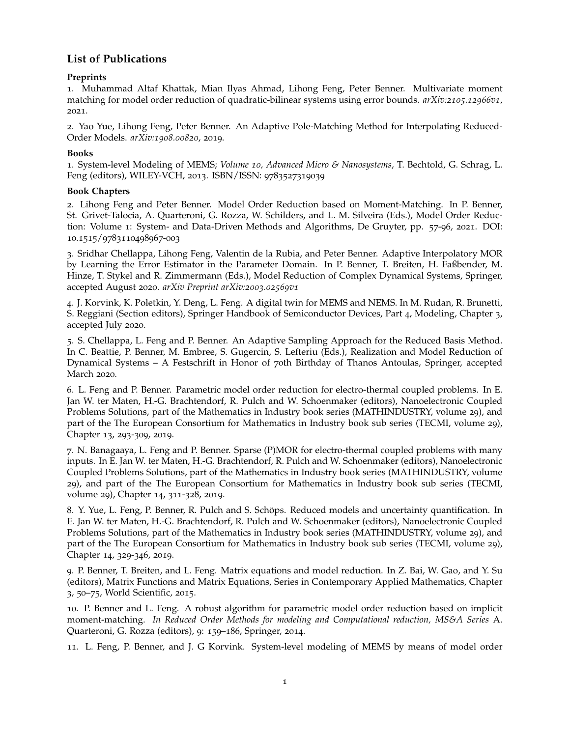# **List of Publications**

## **Preprints**

1. Muhammad Altaf Khattak, Mian Ilyas Ahmad, Lihong Feng, Peter Benner. Multivariate moment matching for model order reduction of quadratic-bilinear systems using error bounds. *arXiv:2105.12966v1*, 2021.

2. Yao Yue, Lihong Feng, Peter Benner. An Adaptive Pole-Matching Method for Interpolating Reduced-Order Models. *arXiv:1908.00820*, 2019.

## **Books**

1. System-level Modeling of MEMS; *Volume 10, Advanced Micro & Nanosystems*, T. Bechtold, G. Schrag, L. Feng (editors), WILEY-VCH, 2013. ISBN/ISSN: 9783527319039

## **Book Chapters**

2. Lihong Feng and Peter Benner. Model Order Reduction based on Moment-Matching. In P. Benner, St. Grivet-Talocia, A. Quarteroni, G. Rozza, W. Schilders, and L. M. Silveira (Eds.), Model Order Reduction: Volume 1: System- and Data-Driven Methods and Algorithms, De Gruyter, pp. 57-96, 2021. DOI: 10.1515/9783110498967-003

3. Sridhar Chellappa, Lihong Feng, Valentin de la Rubia, and Peter Benner. Adaptive Interpolatory MOR by Learning the Error Estimator in the Parameter Domain. In P. Benner, T. Breiten, H. Faßbender, M. Hinze, T. Stykel and R. Zimmermann (Eds.), Model Reduction of Complex Dynamical Systems, Springer, accepted August 2020. *arXiv Preprint arXiv:2003.02569v1*

4. J. Korvink, K. Poletkin, Y. Deng, L. Feng. A digital twin for MEMS and NEMS. In M. Rudan, R. Brunetti, S. Reggiani (Section editors), Springer Handbook of Semiconductor Devices, Part 4, Modeling, Chapter 3, accepted July 2020.

5. S. Chellappa, L. Feng and P. Benner. An Adaptive Sampling Approach for the Reduced Basis Method. In C. Beattie, P. Benner, M. Embree, S. Gugercin, S. Lefteriu (Eds.), Realization and Model Reduction of Dynamical Systems – A Festschrift in Honor of 70th Birthday of Thanos Antoulas, Springer, accepted March 2020.

6. L. Feng and P. Benner. Parametric model order reduction for electro-thermal coupled problems. In E. Jan W. ter Maten, H.-G. Brachtendorf, R. Pulch and W. Schoenmaker (editors), Nanoelectronic Coupled Problems Solutions, part of the Mathematics in Industry book series (MATHINDUSTRY, volume 29), and part of the The European Consortium for Mathematics in Industry book sub series (TECMI, volume 29), Chapter 13, 293-309, 2019.

7. N. Banagaaya, L. Feng and P. Benner. Sparse (P)MOR for electro-thermal coupled problems with many inputs. In E. Jan W. ter Maten, H.-G. Brachtendorf, R. Pulch and W. Schoenmaker (editors), Nanoelectronic Coupled Problems Solutions, part of the Mathematics in Industry book series (MATHINDUSTRY, volume 29), and part of the The European Consortium for Mathematics in Industry book sub series (TECMI, volume 29), Chapter 14, 311-328, 2019.

8. Y. Yue, L. Feng, P. Benner, R. Pulch and S. Schöps. Reduced models and uncertainty quantification. In E. Jan W. ter Maten, H.-G. Brachtendorf, R. Pulch and W. Schoenmaker (editors), Nanoelectronic Coupled Problems Solutions, part of the Mathematics in Industry book series (MATHINDUSTRY, volume 29), and part of the The European Consortium for Mathematics in Industry book sub series (TECMI, volume 29), Chapter 14, 329-346, 2019.

9. P. Benner, T. Breiten, and L. Feng. Matrix equations and model reduction. In Z. Bai, W. Gao, and Y. Su (editors), Matrix Functions and Matrix Equations, Series in Contemporary Applied Mathematics, Chapter 3, 50–75, World Scientific, 2015.

10. P. Benner and L. Feng. A robust algorithm for parametric model order reduction based on implicit moment-matching. *In Reduced Order Methods for modeling and Computational reduction, MS&A Series* A. Quarteroni, G. Rozza (editors), 9: 159–186, Springer, 2014.

11. L. Feng, P. Benner, and J. G Korvink. System-level modeling of MEMS by means of model order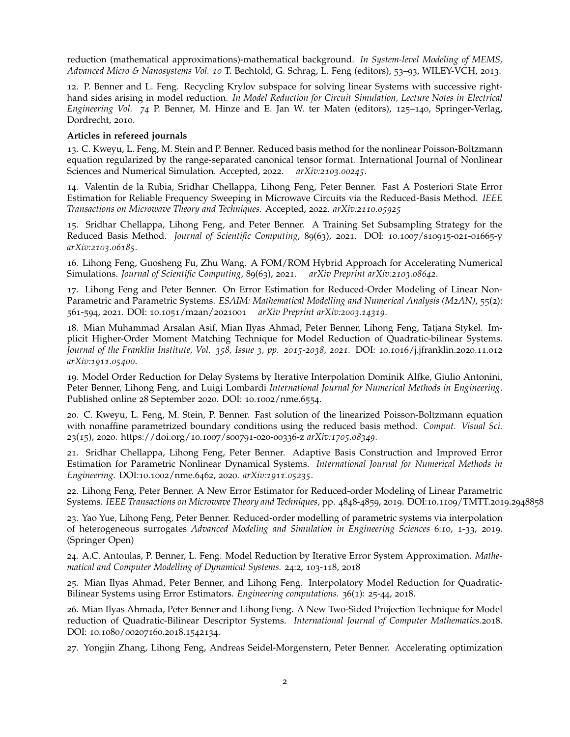reduction (mathematical approximations)-mathematical background. *In System-level Modeling of MEMS, Advanced Micro & Nanosystems Vol. 10* T. Bechtold, G. Schrag, L. Feng (editors), 53–93, WILEY-VCH, 2013.

12. P. Benner and L. Feng. Recycling Krylov subspace for solving linear Systems with successive righthand sides arising in model reduction. *In Model Reduction for Circuit Simulation, Lecture Notes in Electrical Engineering Vol. 74* P. Benner, M. Hinze and E. Jan W. ter Maten (editors), 125–140, Springer-Verlag, Dordrecht, 2010.

#### **Articles in refereed journals**

13. C. Kweyu, L. Feng, M. Stein and P. Benner. Reduced basis method for the nonlinear Poisson-Boltzmann equation regularized by the range-separated canonical tensor format. International Journal of Nonlinear Sciences and Numerical Simulation. Accepted, 2022. *arXiv:2103.00245*.

14. Valentin de la Rubia, Sridhar Chellappa, Lihong Feng, Peter Benner. Fast A Posteriori State Error Estimation for Reliable Frequency Sweeping in Microwave Circuits via the Reduced-Basis Method. *IEEE Transactions on Microwave Theory and Techniques.* Accepted, 2022. *arXiv:2110.05925*

15. Sridhar Chellappa, Lihong Feng, and Peter Benner. A Training Set Subsampling Strategy for the Reduced Basis Method. *Journal of Scientific Computing*, 89(63), 2021. DOI: 10.1007/s10915-021-01665-y *arXiv:2103.06185*.

16. Lihong Feng, Guosheng Fu, Zhu Wang. A FOM/ROM Hybrid Approach for Accelerating Numerical Simulations. *Journal of Scientific Computing*, 89(63), 2021. *arXiv Preprint arXiv:2103.08642*.

17. Lihong Feng and Peter Benner. On Error Estimation for Reduced-Order Modeling of Linear Non-Parametric and Parametric Systems. *ESAIM: Mathematical Modelling and Numerical Analysis (M2AN)*, 55(2): 561-594, 2021. DOI: 10.1051/m2an/2021001 *arXiv Preprint arXiv:2003.14319*.

18. Mian Muhammad Arsalan Asif, Mian Ilyas Ahmad, Peter Benner, Lihong Feng, Tatjana Stykel. Implicit Higher-Order Moment Matching Technique for Model Reduction of Quadratic-bilinear Systems. *Journal of the Franklin Institute, Vol. 358, Issue 3, pp. 2015-2038, 2021.* DOI: 10.1016/j.jfranklin.2020.11.012 *arXiv:1911.05400*.

19. Model Order Reduction for Delay Systems by Iterative Interpolation Dominik Alfke, Giulio Antonini, Peter Benner, Lihong Feng, and Luigi Lombardi *International Journal for Numerical Methods in Engineering*. Published online 28 September 2020. DOI: 10.1002/nme.6554.

20. C. Kweyu, L. Feng, M. Stein, P. Benner. Fast solution of the linearized Poisson-Boltzmann equation with nonaffine parametrized boundary conditions using the reduced basis method. *Comput. Visual Sci.* 23(15), 2020. https://doi.org/10.1007/s00791-020-00336-z *arXiv:1705.08349*.

21. Sridhar Chellappa, Lihong Feng, Peter Benner. Adaptive Basis Construction and Improved Error Estimation for Parametric Nonlinear Dynamical Systems. *International Journal for Numerical Methods in Engineering.* DOI:10.1002/nme.6462, 2020. *arXiv:1911.05235*.

22. Lihong Feng, Peter Benner. A New Error Estimator for Reduced-order Modeling of Linear Parametric Systems. *IEEE Transactions on Microwave Theory and Techniques*, pp. 4848-4859, 2019. DOI:10.1109/TMTT.2019.2948858

23. Yao Yue, Lihong Feng, Peter Benner. Reduced-order modelling of parametric systems via interpolation of heterogeneous surrogates *Advanced Modeling and Simulation in Engineering Sciences* 6:10, 1-33, 2019. (Springer Open)

24. A.C. Antoulas, P. Benner, L. Feng. Model Reduction by Iterative Error System Approximation. *Mathematical and Computer Modelling of Dynamical Systems.* 24:2, 103-118, 2018

25. Mian Ilyas Ahmad, Peter Benner, and Lihong Feng. Interpolatory Model Reduction for Quadratic-Bilinear Systems using Error Estimators. *Engineering computations.* 36(1): 25-44, 2018.

26. Mian Ilyas Ahmada, Peter Benner and Lihong Feng. A New Two-Sided Projection Technique for Model reduction of Quadratic-Bilinear Descriptor Systems. *International Journal of Computer Mathematics.*2018. DOI: 10.1080/00207160.2018.1542134.

27. Yongjin Zhang, Lihong Feng, Andreas Seidel-Morgenstern, Peter Benner. Accelerating optimization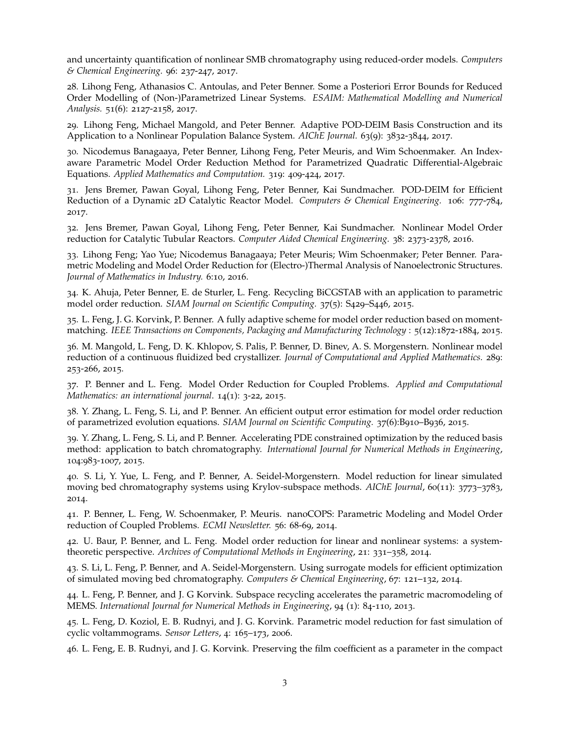and uncertainty quantification of nonlinear SMB chromatography using reduced-order models. *Computers & Chemical Engineering.* 96: 237-247, 2017.

28. Lihong Feng, Athanasios C. Antoulas, and Peter Benner. Some a Posteriori Error Bounds for Reduced Order Modelling of (Non-)Parametrized Linear Systems. *ESAIM: Mathematical Modelling and Numerical Analysis.* 51(6): 2127-2158, 2017.

29. Lihong Feng, Michael Mangold, and Peter Benner. Adaptive POD-DEIM Basis Construction and its Application to a Nonlinear Population Balance System. *AIChE Journal.* 63(9): 3832-3844, 2017.

30. Nicodemus Banagaaya, Peter Benner, Lihong Feng, Peter Meuris, and Wim Schoenmaker. An Indexaware Parametric Model Order Reduction Method for Parametrized Quadratic Differential-Algebraic Equations. *Applied Mathematics and Computation.* 319: 409-424, 2017.

31. Jens Bremer, Pawan Goyal, Lihong Feng, Peter Benner, Kai Sundmacher. POD-DEIM for Efficient Reduction of a Dynamic 2D Catalytic Reactor Model. *Computers & Chemical Engineering.* 106: 777-784, 2017.

32. Jens Bremer, Pawan Goyal, Lihong Feng, Peter Benner, Kai Sundmacher. Nonlinear Model Order reduction for Catalytic Tubular Reactors. *Computer Aided Chemical Engineering.* 38: 2373-2378, 2016.

33. Lihong Feng; Yao Yue; Nicodemus Banagaaya; Peter Meuris; Wim Schoenmaker; Peter Benner. Parametric Modeling and Model Order Reduction for (Electro-)Thermal Analysis of Nanoelectronic Structures. *Journal of Mathematics in Industry.* 6:10, 2016.

34. K. Ahuja, Peter Benner, E. de Sturler, L. Feng. Recycling BiCGSTAB with an application to parametric model order reduction. *SIAM Journal on Scientific Computing.* 37(5): S429–S446, 2015.

35. L. Feng, J. G. Korvink, P. Benner. A fully adaptive scheme for model order reduction based on momentmatching. *IEEE Transactions on Components, Packaging and Manufacturing Technology* : 5(12):1872-1884, 2015.

36. M. Mangold, L. Feng, D. K. Khlopov, S. Palis, P. Benner, D. Binev, A. S. Morgenstern. Nonlinear model reduction of a continuous fluidized bed crystallizer. *Journal of Computational and Applied Mathematics.* 289: 253-266, 2015.

37. P. Benner and L. Feng. Model Order Reduction for Coupled Problems. *Applied and Computational Mathematics: an international journal*. 14(1): 3-22, 2015.

38. Y. Zhang, L. Feng, S. Li, and P. Benner. An efficient output error estimation for model order reduction of parametrized evolution equations. *SIAM Journal on Scientific Computing.* 37(6):B910–B936, 2015.

39. Y. Zhang, L. Feng, S. Li, and P. Benner. Accelerating PDE constrained optimization by the reduced basis method: application to batch chromatography. *International Journal for Numerical Methods in Engineering*, 104:983-1007, 2015.

40. S. Li, Y. Yue, L. Feng, and P. Benner, A. Seidel-Morgenstern. Model reduction for linear simulated moving bed chromatography systems using Krylov-subspace methods. *AIChE Journal*, 60(11): 3773–3783, 2014.

41. P. Benner, L. Feng, W. Schoenmaker, P. Meuris. nanoCOPS: Parametric Modeling and Model Order reduction of Coupled Problems. *ECMI Newsletter.* 56: 68-69, 2014.

42. U. Baur, P. Benner, and L. Feng. Model order reduction for linear and nonlinear systems: a systemtheoretic perspective. *Archives of Computational Methods in Engineering*, 21: 331–358, 2014.

43. S. Li, L. Feng, P. Benner, and A. Seidel-Morgenstern. Using surrogate models for efficient optimization of simulated moving bed chromatography. *Computers & Chemical Engineering*, 67: 121–132, 2014.

44. L. Feng, P. Benner, and J. G Korvink. Subspace recycling accelerates the parametric macromodeling of MEMS. *International Journal for Numerical Methods in Engineering*, 94 (1): 84-110, 2013.

45. L. Feng, D. Koziol, E. B. Rudnyi, and J. G. Korvink. Parametric model reduction for fast simulation of cyclic voltammograms. *Sensor Letters*, 4: 165–173, 2006.

46. L. Feng, E. B. Rudnyi, and J. G. Korvink. Preserving the film coefficient as a parameter in the compact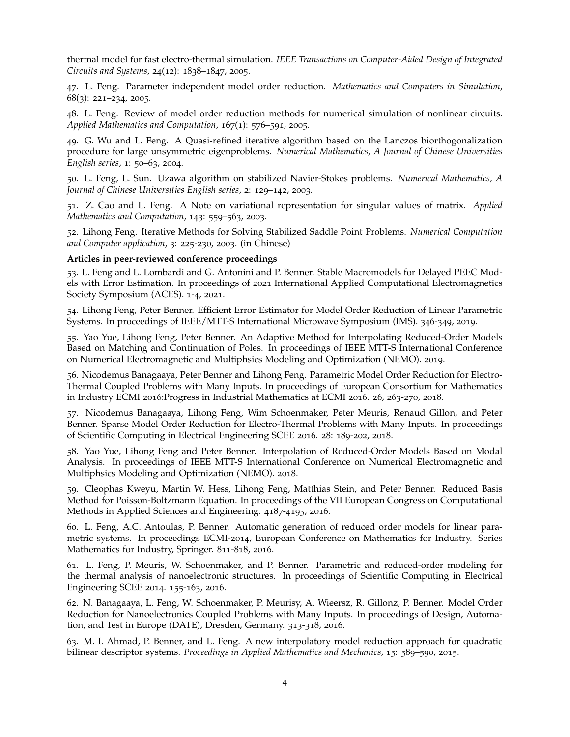thermal model for fast electro-thermal simulation. *IEEE Transactions on Computer-Aided Design of Integrated Circuits and Systems*, 24(12): 1838–1847, 2005.

47. L. Feng. Parameter independent model order reduction. *Mathematics and Computers in Simulation*, 68(3): 221–234, 2005.

48. L. Feng. Review of model order reduction methods for numerical simulation of nonlinear circuits. *Applied Mathematics and Computation*, 167(1): 576–591, 2005.

49. G. Wu and L. Feng. A Quasi-refined iterative algorithm based on the Lanczos biorthogonalization procedure for large unsymmetric eigenproblems. *Numerical Mathematics, A Journal of Chinese Universities English series*, 1: 50–63, 2004.

50. L. Feng, L. Sun. Uzawa algorithm on stabilized Navier-Stokes problems. *Numerical Mathematics, A Journal of Chinese Universities English series*, 2: 129–142, 2003.

51. Z. Cao and L. Feng. A Note on variational representation for singular values of matrix. *Applied Mathematics and Computation*, 143: 559–563, 2003.

52. Lihong Feng. Iterative Methods for Solving Stabilized Saddle Point Problems. *Numerical Computation and Computer application*, 3: 225-230, 2003. (in Chinese)

#### **Articles in peer-reviewed conference proceedings**

53. L. Feng and L. Lombardi and G. Antonini and P. Benner. Stable Macromodels for Delayed PEEC Models with Error Estimation. In proceedings of 2021 International Applied Computational Electromagnetics Society Symposium (ACES). 1-4, 2021.

54. Lihong Feng, Peter Benner. Efficient Error Estimator for Model Order Reduction of Linear Parametric Systems. In proceedings of IEEE/MTT-S International Microwave Symposium (IMS). 346-349, 2019.

55. Yao Yue, Lihong Feng, Peter Benner. An Adaptive Method for Interpolating Reduced-Order Models Based on Matching and Continuation of Poles. In proceedings of IEEE MTT-S International Conference on Numerical Electromagnetic and Multiphsics Modeling and Optimization (NEMO). 2019.

56. Nicodemus Banagaaya, Peter Benner and Lihong Feng. Parametric Model Order Reduction for Electro-Thermal Coupled Problems with Many Inputs. In proceedings of European Consortium for Mathematics in Industry ECMI 2016:Progress in Industrial Mathematics at ECMI 2016. 26, 263-270, 2018.

57. Nicodemus Banagaaya, Lihong Feng, Wim Schoenmaker, Peter Meuris, Renaud Gillon, and Peter Benner. Sparse Model Order Reduction for Electro-Thermal Problems with Many Inputs. In proceedings of Scientific Computing in Electrical Engineering SCEE 2016. 28: 189-202, 2018.

58. Yao Yue, Lihong Feng and Peter Benner. Interpolation of Reduced-Order Models Based on Modal Analysis. In proceedings of IEEE MTT-S International Conference on Numerical Electromagnetic and Multiphsics Modeling and Optimization (NEMO). 2018.

59. Cleophas Kweyu, Martin W. Hess, Lihong Feng, Matthias Stein, and Peter Benner. Reduced Basis Method for Poisson-Boltzmann Equation. In proceedings of the VII European Congress on Computational Methods in Applied Sciences and Engineering. 4187-4195, 2016.

60. L. Feng, A.C. Antoulas, P. Benner. Automatic generation of reduced order models for linear parametric systems. In proceedings ECMI-2014, European Conference on Mathematics for Industry. Series Mathematics for Industry, Springer. 811-818, 2016.

61. L. Feng, P. Meuris, W. Schoenmaker, and P. Benner. Parametric and reduced-order modeling for the thermal analysis of nanoelectronic structures. In proceedings of Scientific Computing in Electrical Engineering SCEE 2014. 155-163, 2016.

62. N. Banagaaya, L. Feng, W. Schoenmaker, P. Meurisy, A. Wieersz, R. Gillonz, P. Benner. Model Order Reduction for Nanoelectronics Coupled Problems with Many Inputs. In proceedings of Design, Automation, and Test in Europe (DATE), Dresden, Germany. 313-318, 2016.

63. M. I. Ahmad, P. Benner, and L. Feng. A new interpolatory model reduction approach for quadratic bilinear descriptor systems. *Proceedings in Applied Mathematics and Mechanics*, 15: 589–590, 2015.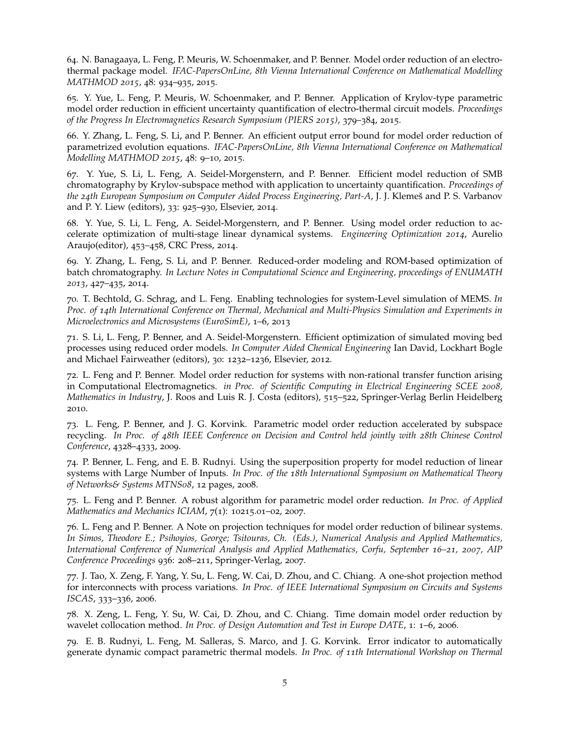64. N. Banagaaya, L. Feng, P. Meuris, W. Schoenmaker, and P. Benner. Model order reduction of an electrothermal package model. *IFAC-PapersOnLine, 8th Vienna International Conference on Mathematical Modelling MATHMOD 2015*, 48: 934–935, 2015.

65. Y. Yue, L. Feng, P. Meuris, W. Schoenmaker, and P. Benner. Application of Krylov-type parametric model order reduction in efficient uncertainty quantification of electro-thermal circuit models. *Proceedings of the Progress In Electromagnetics Research Symposium (PIERS 2015)*, 379–384, 2015.

66. Y. Zhang, L. Feng, S. Li, and P. Benner. An efficient output error bound for model order reduction of parametrized evolution equations. *IFAC-PapersOnLine, 8th Vienna International Conference on Mathematical Modelling MATHMOD 2015*, 48: 9–10, 2015.

67. Y. Yue, S. Li, L. Feng, A. Seidel-Morgenstern, and P. Benner. Efficient model reduction of SMB chromatography by Krylov-subspace method with application to uncertainty quantification. *Proceedings of the 24th European Symposium on Computer Aided Process Engineering, Part-A*, J. J. Klemes and P. S. Varbanov ˇ and P. Y. Liew (editors), 33: 925–930, Elsevier, 2014.

68. Y. Yue, S. Li, L. Feng, A. Seidel-Morgenstern, and P. Benner. Using model order reduction to accelerate optimization of multi-stage linear dynamical systems. *Engineering Optimization 2014*, Aurelio Araujo(editor), 453–458, CRC Press, 2014.

69. Y. Zhang, L. Feng, S. Li, and P. Benner. Reduced-order modeling and ROM-based optimization of batch chromatography. *In Lecture Notes in Computational Science and Engineering, proceedings of ENUMATH 2013*, 427–435, 2014.

70. T. Bechtold, G. Schrag, and L. Feng. Enabling technologies for system-Level simulation of MEMS. *In Proc. of 14th International Conference on Thermal, Mechanical and Multi-Physics Simulation and Experiments in Microelectronics and Microsystems (EuroSimE)*, 1–6, 2013

71. S. Li, L. Feng, P. Benner, and A. Seidel-Morgenstern. Efficient optimization of simulated moving bed processes using reduced order models. *In Computer Aided Chemical Engineering* Ian David, Lockhart Bogle and Michael Fairweather (editors), 30: 1232–1236, Elsevier, 2012.

72. L. Feng and P. Benner. Model order reduction for systems with non-rational transfer function arising in Computational Electromagnetics. *in Proc. of Scientific Computing in Electrical Engineering SCEE 2008, Mathematics in Industry*, J. Roos and Luis R. J. Costa (editors), 515–522, Springer-Verlag Berlin Heidelberg 2010.

73. L. Feng, P. Benner, and J. G. Korvink. Parametric model order reduction accelerated by subspace recycling. *In Proc. of 48th IEEE Conference on Decision and Control held jointly with 28th Chinese Control Conference*, 4328–4333, 2009.

74. P. Benner, L. Feng, and E. B. Rudnyi. Using the superposition property for model reduction of linear systems with Large Number of Inputs. *In Proc. of the 18th International Symposium on Mathematical Theory of Networks& Systems MTNS08*, 12 pages, 2008.

75. L. Feng and P. Benner. A robust algorithm for parametric model order reduction. *In Proc. of Applied Mathematics and Mechanics ICIAM*, 7(1): 10215.01–02, 2007.

76. L. Feng and P. Benner. A Note on projection techniques for model order reduction of bilinear systems. *In Simos, Theodore E.; Psihoyios, George; Tsitouras, Ch. (Eds.), Numerical Analysis and Applied Mathematics, International Conference of Numerical Analysis and Applied Mathematics, Corfu, September 16–21, 2007, AIP Conference Proceedings* 936: 208–211, Springer-Verlag, 2007.

77. J. Tao, X. Zeng, F. Yang, Y. Su, L. Feng, W. Cai, D. Zhou, and C. Chiang. A one-shot projection method for interconnects with process variations. *In Proc. of IEEE International Symposium on Circuits and Systems ISCAS*, 333–336, 2006.

78. X. Zeng, L. Feng, Y. Su, W. Cai, D. Zhou, and C. Chiang. Time domain model order reduction by wavelet collocation method. *In Proc. of Design Automation and Test in Europe DATE*, 1: 1–6, 2006.

79. E. B. Rudnyi, L. Feng, M. Salleras, S. Marco, and J. G. Korvink. Error indicator to automatically generate dynamic compact parametric thermal models. *In Proc. of 11th International Workshop on Thermal*